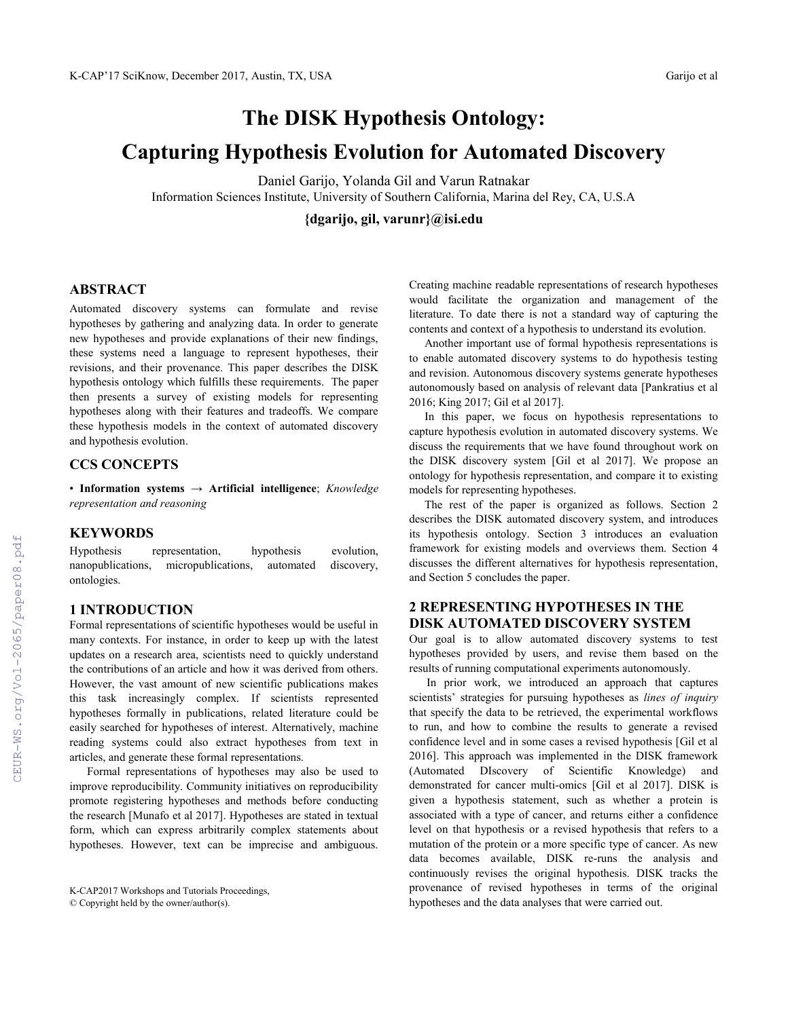# **The DISK Hypothesis Ontology: Capturing Hypothesis Evolution for Automated Discovery**

Daniel Garijo, Yolanda Gil and Varun Ratnakar Information Sciences Institute, University of Southern California, Marina del Rey, CA, U.S.A

**{dgarijo, gil, varunr}@isi.edu**

## **ABSTRACT**

Automated discovery systems can formulate and revise hypotheses by gathering and analyzing data. In order to generate new hypotheses and provide explanations of their new findings, these systems need a language to represent hypotheses, their revisions, and their provenance. This paper describes the DISK hypothesis ontology which fulfills these requirements. The paper then presents a survey of existing models for representing hypotheses along with their features and tradeoffs. We compare these hypothesis models in the context of automated discovery and hypothesis evolution.

#### **CCS CONCEPTS**

• **Information systems** → **Artificial intelligence**; *Knowledge representation and reasoning*

#### **KEYWORDS**

Hypothesis representation, hypothesis evolution, nanopublications, micropublications, automated discovery, ontologies.

#### **1 INTRODUCTION**

Formal representations of scientific hypotheses would be useful in many contexts. For instance, in order to keep up with the latest updates on a research area, scientists need to quickly understand the contributions of an article and how it was derived from others. However, the vast amount of new scientific publications makes this task increasingly complex. If scientists represented hypotheses formally in publications, related literature could be easily searched for hypotheses of interest. Alternatively, machine reading systems could also extract hypotheses from text in articles, and generate these formal representations.

Formal representations of hypotheses may also be used to improve reproducibility. Community initiatives on reproducibility promote registering hypotheses and methods before conducting the research [Munafo et al 2017]. Hypotheses are stated in textual form, which can express arbitrarily complex statements about hypotheses. However, text can be imprecise and ambiguous.

Creating machine readable representations of research hypotheses would facilitate the organization and management of the literature. To date there is not a standard way of capturing the contents and context of a hypothesis to understand its evolution.

Another important use of formal hypothesis representations is to enable automated discovery systems to do hypothesis testing and revision. Autonomous discovery systems generate hypotheses autonomously based on analysis of relevant data [Pankratius et al 2016; King 2017; Gil et al 2017].

In this paper, we focus on hypothesis representations to capture hypothesis evolution in automated discovery systems. We discuss the requirements that we have found throughout work on the DISK discovery system [Gil et al 2017]. We propose an ontology for hypothesis representation, and compare it to existing models for representing hypotheses.

The rest of the paper is organized as follows. Section 2 describes the DISK automated discovery system, and introduces its hypothesis ontology. Section 3 introduces an evaluation framework for existing models and overviews them. Section 4 discusses the different alternatives for hypothesis representation, and Section 5 concludes the paper.

## **2 REPRESENTING HYPOTHESES IN THE DISK AUTOMATED DISCOVERY SYSTEM**

Our goal is to allow automated discovery systems to test hypotheses provided by users, and revise them based on the results of running computational experiments autonomously.

In prior work, we introduced an approach that captures scientists' strategies for pursuing hypotheses as *lines of inquiry* that specify the data to be retrieved, the experimental workflows to run, and how to combine the results to generate a revised confidence level and in some cases a revised hypothesis [Gil et al 2016]. This approach was implemented in the DISK framework (Automated DIscovery of Scientific Knowledge) and demonstrated for cancer multi-omics [Gil et al 2017]. DISK is given a hypothesis statement, such as whether a protein is associated with a type of cancer, and returns either a confidence level on that hypothesis or a revised hypothesis that refers to a mutation of the protein or a more specific type of cancer. As new data becomes available, DISK re-runs the analysis and continuously revises the original hypothesis. DISK tracks the provenance of revised hypotheses in terms of the original hypotheses and the data analyses that were carried out.

K-CAP2017 Workshops and Tutorials Proceedings, © Copyright held by the owner/author(s).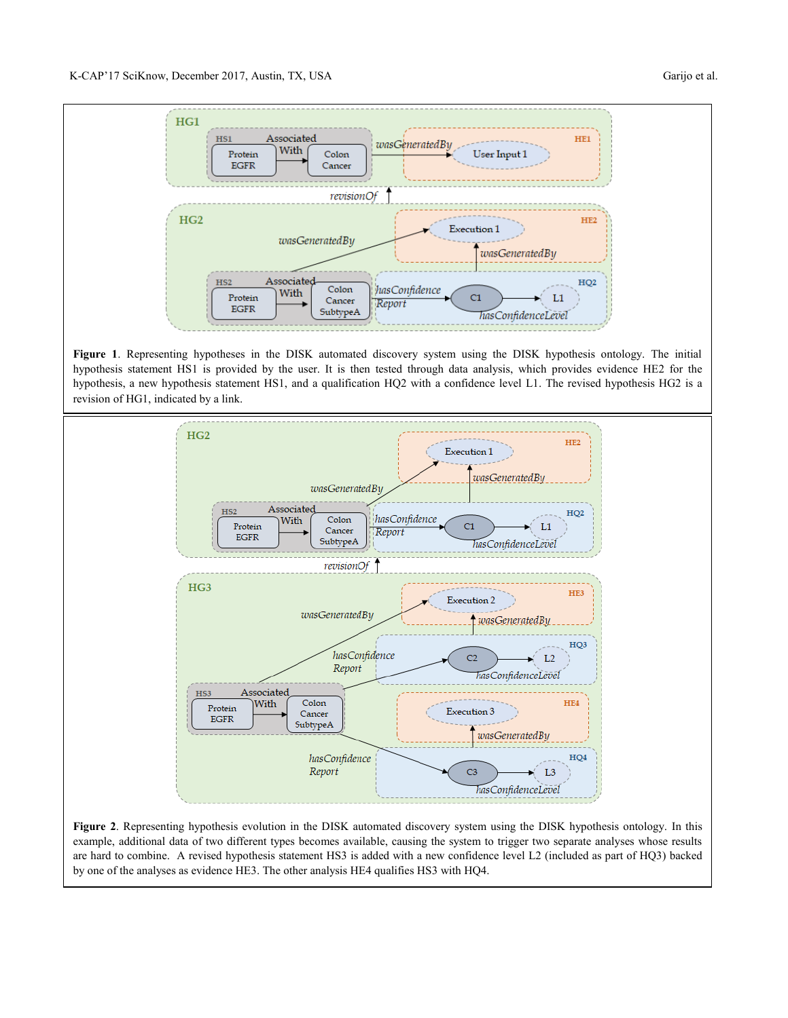

**Figure 1**. Representing hypotheses in the DISK automated discovery system using the DISK hypothesis ontology. The initial hypothesis statement HS1 is provided by the user. It is then tested through data analysis, which provides evidence HE2 for the hypothesis, a new hypothesis statement HS1, and a qualification HQ2 with a confidence level L1. The revised hypothesis HG2 is a revision of HG1, indicated by a link.



**Figure 2**. Representing hypothesis evolution in the DISK automated discovery system using the DISK hypothesis ontology. In this example, additional data of two different types becomes available, causing the system to trigger two separate analyses whose results are hard to combine. A revised hypothesis statement HS3 is added with a new confidence level L2 (included as part of HQ3) backed by one of the analyses as evidence HE3. The other analysis HE4 qualifies HS3 with HQ4.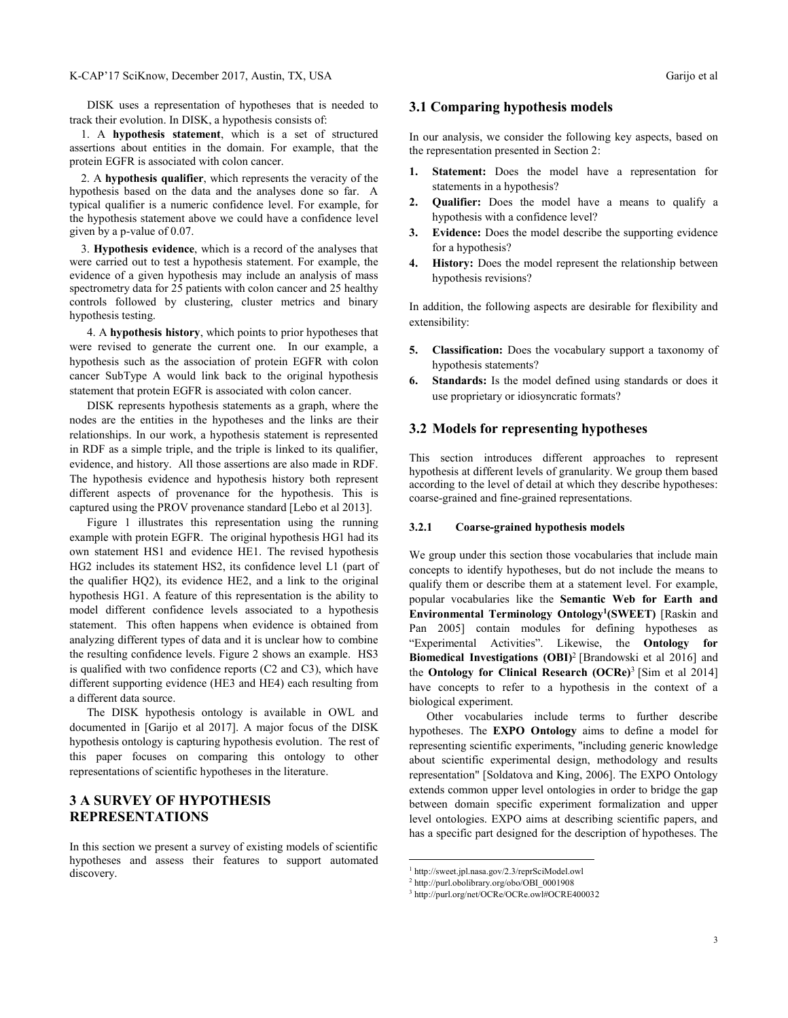DISK uses a representation of hypotheses that is needed to track their evolution. In DISK, a hypothesis consists of:

1. A **hypothesis statement**, which is a set of structured assertions about entities in the domain. For example, that the protein EGFR is associated with colon cancer.

2. A **hypothesis qualifier**, which represents the veracity of the hypothesis based on the data and the analyses done so far. A typical qualifier is a numeric confidence level. For example, for the hypothesis statement above we could have a confidence level given by a p-value of 0.07.

3. **Hypothesis evidence**, which is a record of the analyses that were carried out to test a hypothesis statement. For example, the evidence of a given hypothesis may include an analysis of mass spectrometry data for 25 patients with colon cancer and 25 healthy controls followed by clustering, cluster metrics and binary hypothesis testing.

4. A **hypothesis history**, which points to prior hypotheses that were revised to generate the current one. In our example, a hypothesis such as the association of protein EGFR with colon cancer SubType A would link back to the original hypothesis statement that protein EGFR is associated with colon cancer.

DISK represents hypothesis statements as a graph, where the nodes are the entities in the hypotheses and the links are their relationships. In our work, a hypothesis statement is represented in RDF as a simple triple, and the triple is linked to its qualifier, evidence, and history. All those assertions are also made in RDF. The hypothesis evidence and hypothesis history both represent different aspects of provenance for the hypothesis. This is captured using the PROV provenance standard [Lebo et al 2013].

Figure 1 illustrates this representation using the running example with protein EGFR. The original hypothesis HG1 had its own statement HS1 and evidence HE1. The revised hypothesis HG2 includes its statement HS2, its confidence level L1 (part of the qualifier HQ2), its evidence HE2, and a link to the original hypothesis HG1. A feature of this representation is the ability to model different confidence levels associated to a hypothesis statement. This often happens when evidence is obtained from analyzing different types of data and it is unclear how to combine the resulting confidence levels. Figure 2 shows an example. HS3 is qualified with two confidence reports (C2 and C3), which have different supporting evidence (HE3 and HE4) each resulting from a different data source.

The DISK hypothesis ontology is available in OWL and documented in [Garijo et al 2017]. A major focus of the DISK hypothesis ontology is capturing hypothesis evolution. The rest of this paper focuses on comparing this ontology to other representations of scientific hypotheses in the literature.

## **3 A SURVEY OF HYPOTHESIS REPRESENTATIONS**

In this section we present a survey of existing models of scientific hypotheses and assess their features to support automated discovery.

#### **3.1 Comparing hypothesis models**

In our analysis, we consider the following key aspects, based on the representation presented in Section 2:

- **1. Statement:** Does the model have a representation for statements in a hypothesis?
- **2. Qualifier:** Does the model have a means to qualify a hypothesis with a confidence level?
- **3. Evidence:** Does the model describe the supporting evidence for a hypothesis?
- **4. History:** Does the model represent the relationship between hypothesis revisions?

In addition, the following aspects are desirable for flexibility and extensibility:

- **5. Classification:** Does the vocabulary support a taxonomy of hypothesis statements?
- **6. Standards:** Is the model defined using standards or does it use proprietary or idiosyncratic formats?

#### **3.2 Models for representing hypotheses**

This section introduces different approaches to represent hypothesis at different levels of granularity. We group them based according to the level of detail at which they describe hypotheses: coarse-grained and fine-grained representations.

#### **3.2.1 Coarse-grained hypothesis models**

We group under this section those vocabularies that include main concepts to identify hypotheses, but do not include the means to qualify them or describe them at a statement level. For example, popular vocabularies like the **Semantic Web for Earth and Environmental Terminology Ontology<sup>1</sup> (SWEET)** [Raskin and Pan 2005] contain modules for defining hypotheses as "Experimental Activities". Likewise, the **Ontology for Biomedical Investigations (OBI)**<sup>2</sup> [Brandowski et al 2016] and the **Ontology for Clinical Research (OCRe)** 3 [Sim et al 2014] have concepts to refer to a hypothesis in the context of a biological experiment.

Other vocabularies include terms to further describe hypotheses. The **EXPO Ontology** aims to define a model for representing scientific experiments, "including generic knowledge about scientific experimental design, methodology and results representation" [Soldatova and King, 2006]. The EXPO Ontology extends common upper level ontologies in order to bridge the gap between domain specific experiment formalization and upper level ontologies. EXPO aims at describing scientific papers, and has a specific part designed for the description of hypotheses. The

 $\overline{a}$ 

<sup>1</sup> http://sweet.jpl.nasa.gov/2.3/reprSciModel.owl

<sup>2</sup> http://purl.obolibrary.org/obo/OBI\_0001908

<sup>3</sup> http://purl.org/net/OCRe/OCRe.owl#OCRE400032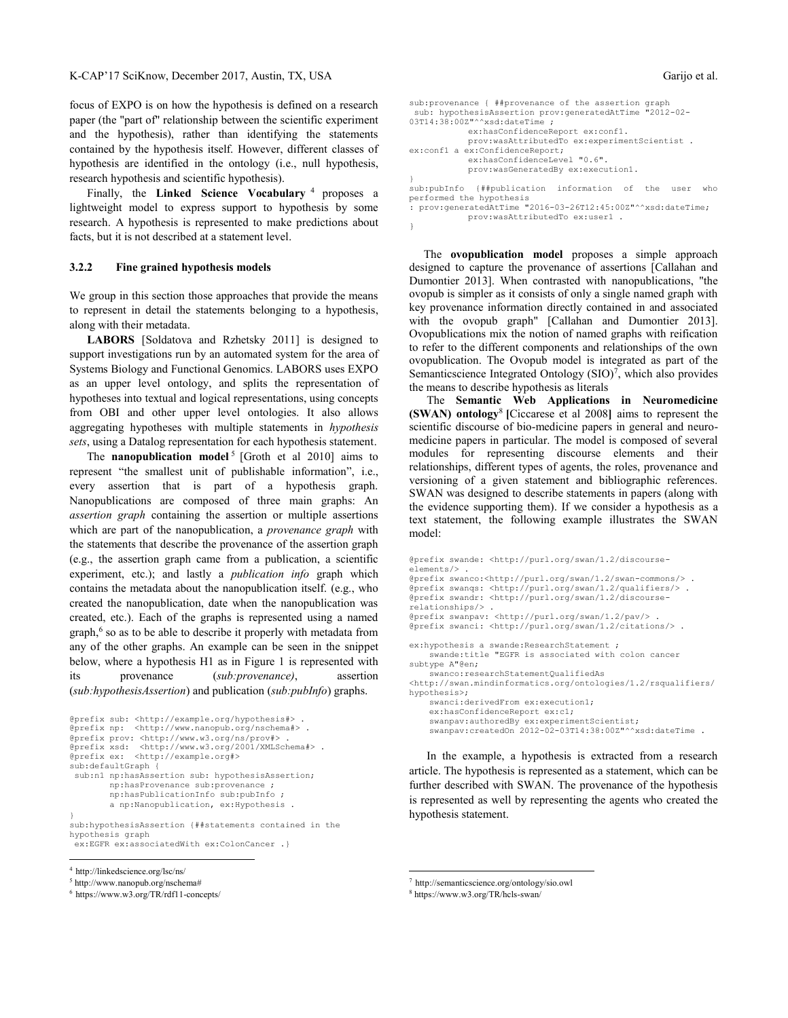focus of EXPO is on how the hypothesis is defined on a research paper (the "part of" relationship between the scientific experiment and the hypothesis), rather than identifying the statements contained by the hypothesis itself. However, different classes of hypothesis are identified in the ontology (i.e., null hypothesis, research hypothesis and scientific hypothesis).

Finally, the **Linked Science Vocabulary** <sup>4</sup> proposes a lightweight model to express support to hypothesis by some research. A hypothesis is represented to make predictions about facts, but it is not described at a statement level.

#### **3.2.2 Fine grained hypothesis models**

We group in this section those approaches that provide the means to represent in detail the statements belonging to a hypothesis, along with their metadata.

**LABORS** [Soldatova and Rzhetsky 2011] is designed to support investigations run by an automated system for the area of Systems Biology and Functional Genomics. LABORS uses EXPO as an upper level ontology, and splits the representation of hypotheses into textual and logical representations, using concepts from OBI and other upper level ontologies. It also allows aggregating hypotheses with multiple statements in *hypothesis sets*, using a Datalog representation for each hypothesis statement.

The **nanopublication model**<sup>5</sup> [Groth et al 2010] aims to represent "the smallest unit of publishable information", i.e., every assertion that is part of a hypothesis graph. Nanopublications are composed of three main graphs: An *assertion graph* containing the assertion or multiple assertions which are part of the nanopublication, a *provenance graph* with the statements that describe the provenance of the assertion graph (e.g., the assertion graph came from a publication, a scientific experiment, etc.); and lastly a *publication info* graph which contains the metadata about the nanopublication itself. (e.g., who created the nanopublication, date when the nanopublication was created, etc.). Each of the graphs is represented using a named graph, 6 so as to be able to describe it properly with metadata from any of the other graphs. An example can be seen in the snippet below, where a hypothesis H1 as in Figure 1 is represented with its provenance (*sub:provenance)*, assertion (*sub:hypothesisAssertion*) and publication (*sub:pubInfo*) graphs.

```
@prefix sub: <http://example.org/hypothesis#> .
@prefix np: <http://www.nanopub.org/nschema#> .
@prefix prov: <http://www.w3.org/ns/prov#> . 
@prefix xsd: <http://www.w3.org/2001/XMLSchema#> .
@prefix ex: <http://example.org#>
sub:defaultGraph {
sub:n1 np:hasAssertion sub: hypothesisAssertion;
        np:hasProvenance sub:provenance ;
         np:hasPublicationInfo sub:pubInfo ; 
        a np:Nanopublication, ex:Hypothesis .
}
sub:hypothesisAssertion {##statements contained in the 
hypothesis graph
```

```
ex:EGFR ex:associatedWith ex:ColonCancer .}
```

```
4 http://linkedscience.org/lsc/ns/
```
 $\overline{a}$ 

```
5 http://www.nanopub.org/nschema#
```

```
6 https://www.w3.org/TR/rdf11-concepts/
```

```
sub:provenance { ##provenance of the assertion graph
sub: hypothesisAssertion prov:generatedAtTime "2012-02-
03T14:38:00Z"^^xsd:dateTime ;
             ex:hasConfidenceReport ex:conf1.
             prov:wasAttributedTo ex:experimentScientist .
ex:conf1 a ex:ConfidenceReport;
             ex:hasConfidenceLevel "0.6".
             prov:wasGeneratedBy ex:execution1.
}
sub:pubInfo {##publication information of the user who 
performed the hypothesis
```

```
: prov:generatedAtTime "2016-03-26T12:45:00Z"^^xsd:dateTime;
           prov:wasAttributedTo ex:user1 .
```
}

 The **ovopublication model** proposes a simple approach designed to capture the provenance of assertions [Callahan and Dumontier 2013]. When contrasted with nanopublications, "the ovopub is simpler as it consists of only a single named graph with key provenance information directly contained in and associated with the ovopub graph" [Callahan and Dumontier 2013]. Ovopublications mix the notion of named graphs with reification to refer to the different components and relationships of the own ovopublication. The Ovopub model is integrated as part of the Semanticscience Integrated Ontology (SIO)<sup>7</sup>, which also provides the means to describe hypothesis as literals

 The **Semantic Web Applications in Neuromedicine (SWAN) ontology**<sup>8</sup> **[**Ciccarese et al 2008**]** aims to represent the scientific discourse of bio-medicine papers in general and neuromedicine papers in particular. The model is composed of several modules for representing discourse elements and their relationships, different types of agents, the roles, provenance and versioning of a given statement and bibliographic references. SWAN was designed to describe statements in papers (along with the evidence supporting them). If we consider a hypothesis as a text statement, the following example illustrates the SWAN model:

```
@prefix swande: <http://purl.org/swan/1.2/discourse-
elements/> .
@prefix swanco:<http://purl.org/swan/1.2/swan-commons/> .
@prefix swanqs: <http://purl.org/swan/1.2/qualifiers/> .
@prefix swandr: <http://purl.org/swan/1.2/discourse-
relationships/> .
@prefix swanpav: <http://purl.org/swan/1.2/pav/> .
@prefix swanci: <http://purl.org/swan/1.2/citations/> .
ex:hypothesis a swande: ResearchStatement ;
     swande:title "EGFR is associated with colon cancer 
subtype A"@en;
     swanco:researchStatementQualifiedAs 
<http://swan.mindinformatics.org/ontologies/1.2/rsqualifiers/
hypothesis>;
     swanci:derivedFrom ex:execution1;
     ex:hasConfidenceReport ex:c1;
     swanpav:authoredBy ex:experimentScientist;
     swanpav:createdOn 2012-02-03T14:38:00Z"^^xsd:dateTime .
```
In the example, a hypothesis is extracted from a research article. The hypothesis is represented as a statement, which can be further described with SWAN. The provenance of the hypothesis is represented as well by representing the agents who created the hypothesis statement.

 $\overline{a}$ 

<sup>7</sup> http://semanticscience.org/ontology/sio.owl

<sup>8</sup> https://www.w3.org/TR/hcls-swan/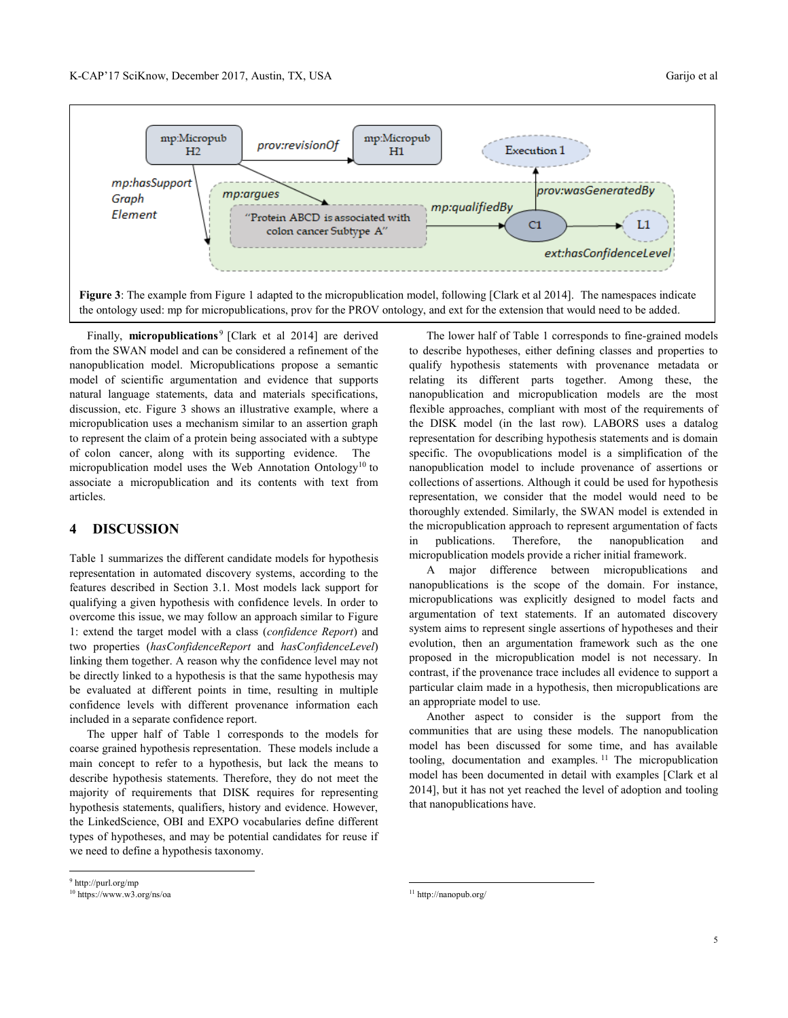

Finally, **micropublications**<sup>9</sup> [Clark et al 2014] are derived from the SWAN model and can be considered a refinement of the nanopublication model. Micropublications propose a semantic model of scientific argumentation and evidence that supports natural language statements, data and materials specifications, discussion, etc. Figure 3 shows an illustrative example, where a micropublication uses a mechanism similar to an assertion graph to represent the claim of a protein being associated with a subtype of colon cancer, along with its supporting evidence. The micropublication model uses the Web Annotation Ontology<sup>10</sup> to associate a micropublication and its contents with text from articles.

#### **4 DISCUSSION**

Table 1 summarizes the different candidate models for hypothesis representation in automated discovery systems, according to the features described in Section 3.1. Most models lack support for qualifying a given hypothesis with confidence levels. In order to overcome this issue, we may follow an approach similar to Figure 1: extend the target model with a class (*confidence Report*) and two properties (*hasConfidenceReport* and *hasConfidenceLevel*) linking them together. A reason why the confidence level may not be directly linked to a hypothesis is that the same hypothesis may be evaluated at different points in time, resulting in multiple confidence levels with different provenance information each included in a separate confidence report.

The upper half of Table 1 corresponds to the models for coarse grained hypothesis representation. These models include a main concept to refer to a hypothesis, but lack the means to describe hypothesis statements. Therefore, they do not meet the majority of requirements that DISK requires for representing hypothesis statements, qualifiers, history and evidence. However, the LinkedScience, OBI and EXPO vocabularies define different types of hypotheses, and may be potential candidates for reuse if we need to define a hypothesis taxonomy.

The lower half of Table 1 corresponds to fine-grained models to describe hypotheses, either defining classes and properties to qualify hypothesis statements with provenance metadata or relating its different parts together. Among these, the nanopublication and micropublication models are the most flexible approaches, compliant with most of the requirements of the DISK model (in the last row). LABORS uses a datalog representation for describing hypothesis statements and is domain specific. The ovopublications model is a simplification of the nanopublication model to include provenance of assertions or collections of assertions. Although it could be used for hypothesis representation, we consider that the model would need to be thoroughly extended. Similarly, the SWAN model is extended in the micropublication approach to represent argumentation of facts in publications. Therefore, the nanopublication and micropublication models provide a richer initial framework.

A major difference between micropublications and nanopublications is the scope of the domain. For instance, micropublications was explicitly designed to model facts and argumentation of text statements. If an automated discovery system aims to represent single assertions of hypotheses and their evolution, then an argumentation framework such as the one proposed in the micropublication model is not necessary. In contrast, if the provenance trace includes all evidence to support a particular claim made in a hypothesis, then micropublications are an appropriate model to use.

Another aspect to consider is the support from the communities that are using these models. The nanopublication model has been discussed for some time, and has available tooling, documentation and examples. <sup>11</sup> The micropublication model has been documented in detail with examples [Clark et al 2014], but it has not yet reached the level of adoption and tooling that nanopublications have.

 $\overline{a}$ 

l

<sup>9</sup> http://purl.org/mp

 $\rm ^{10}$  https://www.w3.org/ns/oa

 $^{11}$ http://nanopub.org/  $\,$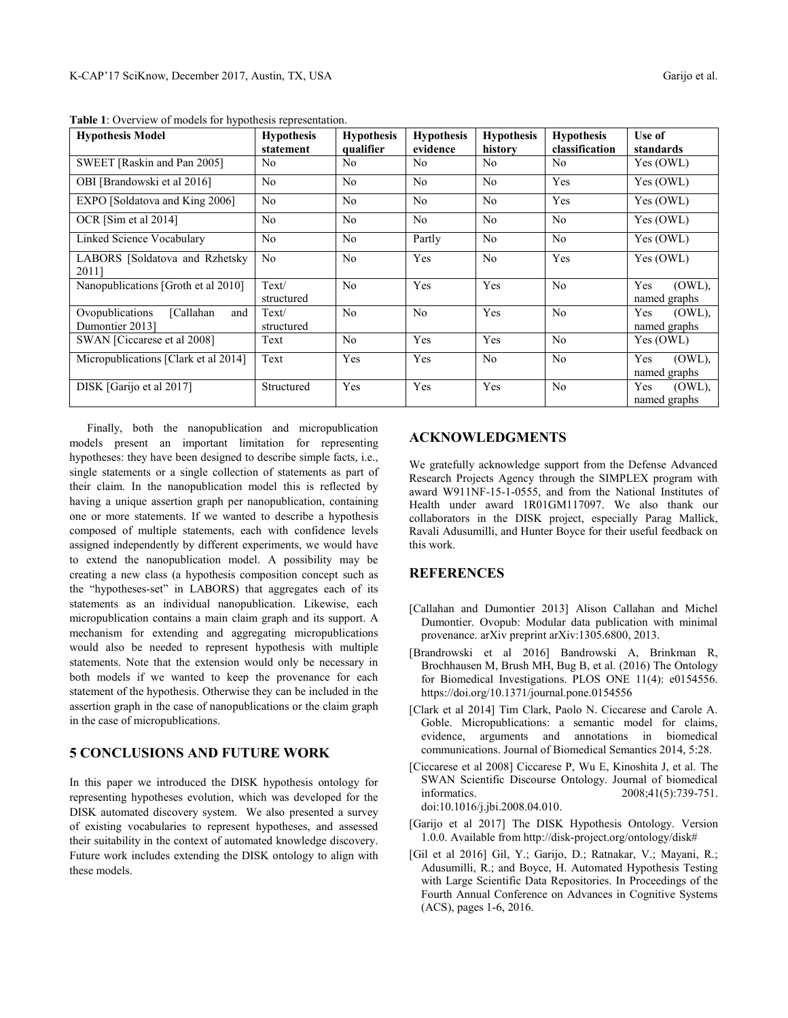| <b>Hypothesis Model</b>                                 | <b>Hypothesis</b><br>statement | <b>Hypothesis</b><br>qualifier | <b>Hypothesis</b><br>evidence | <b>Hypothesis</b><br>history | <b>Hypothesis</b><br>classification | Use of<br>standards              |
|---------------------------------------------------------|--------------------------------|--------------------------------|-------------------------------|------------------------------|-------------------------------------|----------------------------------|
| SWEET [Raskin and Pan 2005]                             | No                             | N <sub>o</sub>                 | No                            | No                           | No                                  | Yes (OWL)                        |
| OBI [Brandowski et al 2016]                             | N <sub>o</sub>                 | N <sub>o</sub>                 | N <sub>o</sub>                | No                           | Yes                                 | Yes (OWL)                        |
| EXPO [Soldatova and King 2006]                          | N <sub>o</sub>                 | N <sub>o</sub>                 | N <sub>o</sub>                | N <sub>o</sub>               | Yes                                 | Yes (OWL)                        |
| OCR [Sim et al 2014]                                    | N <sub>o</sub>                 | N <sub>o</sub>                 | N <sub>o</sub>                | N <sub>o</sub>               | N <sub>o</sub>                      | $\overline{Yes}$ (OWL)           |
| Linked Science Vocabulary                               | N <sub>o</sub>                 | N <sub>o</sub>                 | Partly                        | N <sub>o</sub>               | N <sub>o</sub>                      | Yes (OWL)                        |
| LABORS [Soldatova and Rzhetsky<br>2011]                 | N <sub>o</sub>                 | N <sub>o</sub>                 | Yes                           | No                           | Yes                                 | Yes (OWL)                        |
| Nanopublications [Groth et al 2010]                     | Text/<br>structured            | N <sub>o</sub>                 | Yes                           | Yes                          | N <sub>0</sub>                      | Yes<br>(OWL),<br>named graphs    |
| Ovopublications<br>[Callahan]<br>and<br>Dumontier 2013] | Text/<br>structured            | N <sub>o</sub>                 | N <sub>o</sub>                | Yes                          | N <sub>0</sub>                      | $(OWL)$ ,<br>Yes<br>named graphs |
| SWAN [Ciccarese et al 2008]                             | Text                           | N <sub>o</sub>                 | Yes                           | Yes                          | N <sub>0</sub>                      | Yes (OWL)                        |
| Micropublications [Clark et al 2014]                    | Text                           | Yes                            | Yes                           | N <sub>o</sub>               | N <sub>0</sub>                      | $(OWL)$ ,<br>Yes<br>named graphs |
| DISK [Garijo et al 2017]                                | Structured                     | Yes                            | Yes                           | Yes                          | N <sub>o</sub>                      | $(OWL)$ ,<br>Yes<br>named graphs |

**Table 1**: Overview of models for hypothesis representation.

Finally, both the nanopublication and micropublication models present an important limitation for representing hypotheses: they have been designed to describe simple facts, i.e., single statements or a single collection of statements as part of their claim. In the nanopublication model this is reflected by having a unique assertion graph per nanopublication, containing one or more statements. If we wanted to describe a hypothesis composed of multiple statements, each with confidence levels assigned independently by different experiments, we would have to extend the nanopublication model. A possibility may be creating a new class (a hypothesis composition concept such as the "hypotheses-set" in LABORS) that aggregates each of its statements as an individual nanopublication. Likewise, each micropublication contains a main claim graph and its support. A mechanism for extending and aggregating micropublications would also be needed to represent hypothesis with multiple statements. Note that the extension would only be necessary in both models if we wanted to keep the provenance for each statement of the hypothesis. Otherwise they can be included in the assertion graph in the case of nanopublications or the claim graph in the case of micropublications.

#### **5 CONCLUSIONS AND FUTURE WORK**

In this paper we introduced the DISK hypothesis ontology for representing hypotheses evolution, which was developed for the DISK automated discovery system. We also presented a survey of existing vocabularies to represent hypotheses, and assessed their suitability in the context of automated knowledge discovery. Future work includes extending the DISK ontology to align with these models.

#### **ACKNOWLEDGMENTS**

We gratefully acknowledge support from the Defense Advanced Research Projects Agency through the SIMPLEX program with award W911NF-15-1-0555, and from the National Institutes of Health under award 1R01GM117097. We also thank our collaborators in the DISK project, especially Parag Mallick, Ravali Adusumilli, and Hunter Boyce for their useful feedback on this work.

## **REFERENCES**

- [Callahan and Dumontier 2013] Alison Callahan and Michel Dumontier. Ovopub: Modular data publication with minimal provenance. arXiv preprint arXiv:1305.6800, 2013.
- [Brandrowski et al 2016] Bandrowski A, Brinkman R, Brochhausen M, Brush MH, Bug B, et al. (2016) The Ontology for Biomedical Investigations. PLOS ONE 11(4): e0154556. https://doi.org/10.1371/journal.pone.0154556
- [Clark et al 2014] Tim Clark, Paolo N. Ciccarese and Carole A. Goble. Micropublications: a semantic model for claims, evidence, arguments and annotations in biomedical communications. Journal of Biomedical Semantics 2014, 5:28.
- [Ciccarese et al 2008] Ciccarese P, Wu E, Kinoshita J, et al. The SWAN Scientific Discourse Ontology. Journal of biomedical informatics. 2008;41(5):739-751. doi:10.1016/j.jbi.2008.04.010.
- [Garijo et al 2017] The DISK Hypothesis Ontology. Version 1.0.0. Available from http://disk-project.org/ontology/disk#
- [Gil et al 2016] Gil, Y.; Garijo, D.; Ratnakar, V.; Mayani, R.; Adusumilli, R.; and Boyce, H. Automated Hypothesis Testing with Large Scientific Data Repositories. In Proceedings of the Fourth Annual Conference on Advances in Cognitive Systems (ACS), pages 1-6, 2016.